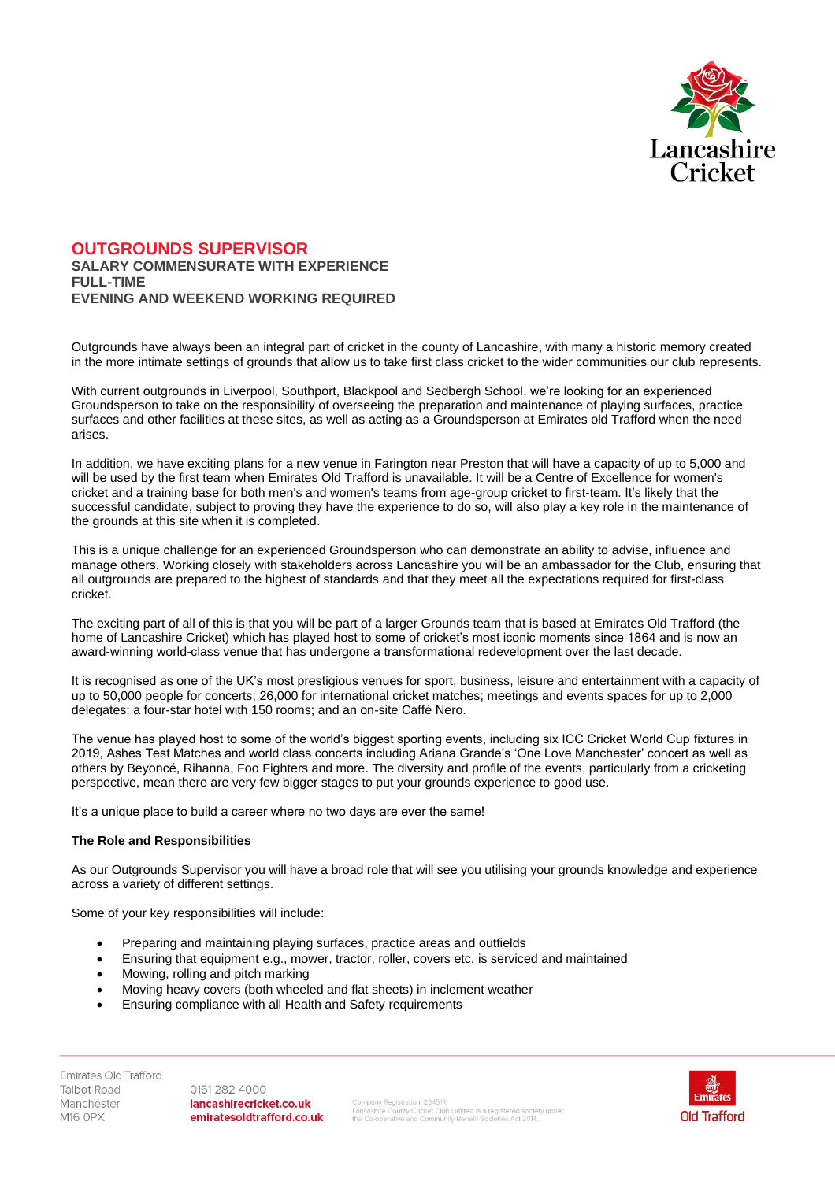

# **OUTGROUNDS SUPERVISOR SALARY COMMENSURATE WITH EXPERIENCE FULL-TIME EVENING AND WEEKEND WORKING REQUIRED**

Outgrounds have always been an integral part of cricket in the county of Lancashire, with many a historic memory created in the more intimate settings of grounds that allow us to take first class cricket to the wider communities our club represents.

With current outgrounds in Liverpool, Southport, Blackpool and Sedbergh School, we're looking for an experienced Groundsperson to take on the responsibility of overseeing the preparation and maintenance of playing surfaces, practice surfaces and other facilities at these sites, as well as acting as a Groundsperson at Emirates old Trafford when the need arises.

In addition, we have exciting plans for a new venue in Farington near Preston that will have a capacity of up to 5,000 and will be used by the first team when Emirates Old Trafford is unavailable. It will be a Centre of Excellence for women's cricket and a training base for both men's and women's teams from age-group cricket to first-team. It's likely that the successful candidate, subject to proving they have the experience to do so, will also play a key role in the maintenance of the grounds at this site when it is completed.

This is a unique challenge for an experienced Groundsperson who can demonstrate an ability to advise, influence and manage others. Working closely with stakeholders across Lancashire you will be an ambassador for the Club, ensuring that all outgrounds are prepared to the highest of standards and that they meet all the expectations required for first-class cricket.

The exciting part of all of this is that you will be part of a larger Grounds team that is based at Emirates Old Trafford (the home of Lancashire Cricket) which has played host to some of cricket's most iconic moments since 1864 and is now an award-winning world-class venue that has undergone a transformational redevelopment over the last decade.

It is recognised as one of the UK's most prestigious venues for sport, business, leisure and entertainment with a capacity of up to 50,000 people for concerts; 26,000 for international cricket matches; meetings and events spaces for up to 2,000 delegates; a four-star hotel with 150 rooms; and an on-site Caffè Nero.

The venue has played host to some of the world's biggest sporting events, including six ICC Cricket World Cup fixtures in 2019, Ashes Test Matches and world class concerts including Ariana Grande's 'One Love Manchester' concert as well as others by Beyoncé, Rihanna, Foo Fighters and more. The diversity and profile of the events, particularly from a cricketing perspective, mean there are very few bigger stages to put your grounds experience to good use.

It's a unique place to build a career where no two days are ever the same!

## **The Role and Responsibilities**

As our Outgrounds Supervisor you will have a broad role that will see you utilising your grounds knowledge and experience across a variety of different settings.

Some of your key responsibilities will include:

- Preparing and maintaining playing surfaces, practice areas and outfields
- Ensuring that equipment e.g., mower, tractor, roller, covers etc. is serviced and maintained
- Mowing, rolling and pitch marking
- Moving heavy covers (both wheeled and flat sheets) in inclement weather
- Ensuring compliance with all Health and Safety requirements

Emirates Old Trafford **Talbot Road** Manchester M16 OPX

0161 282 4000 lancashirecricket.co.uk emiratesoldtrafford.co.uk

.<br>Company Registration: 28451R<br>the Co-operative and Community Benefit Societies Act 2014.